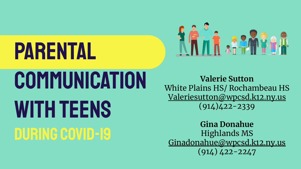# **PARENTAL COMMUNICATION** WITH TEENS DURING COVID-19



**Valerie Sutton**  White Plains HS/ Rochambeau HS [Valeriesutton@wpcsd.](mailto:Valeriesutton@wpcsd.us)k12.ny.us (914)422-2339

**Gina Donahue** Highlands MS [Ginadonahue@wpcsd.k12.ny.us](mailto:ginadonahue@wpcsd.k12.ny.us) (914) 422-2247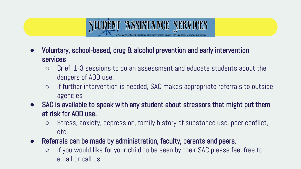

- Brief, 1-3 sessions to do an assessment and educate students about the dangers of AOD use.
- If further intervention is needed, SAC makes appropriate referrals to outside agencies
- **●** SAC is available to speak with any student about stressors that might put them at risk for AOD use.
	- Stress, anxiety, depression, family history of substance use, peer conflict, etc.
- **●** Referrals can be made by administration, faculty, parents and peers.
	- If you would like for your child to be seen by their SAC please feel free to email or call us!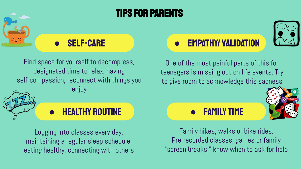

### Tips for Parents



Find space for yourself to decompress, designated time to relax, having self-compassion, reconnect with things you enjoy



#### **HEALTHY ROUTINE**

Logging into classes every day, maintaining a regular sleep schedule, eating healthy, connecting with others

#### ● Empathy/ Validation



One of the most painful parts of this for teenagers is missing out on life events. Try to give room to acknowledge this sadness





Family hikes, walks or bike rides. Pre-recorded classes, games or family "screen breaks," know when to ask for help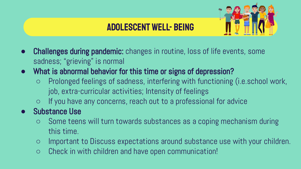

#### Adolescent Well- Being

- **Challenges during pandemic:** changes in routine, loss of life events, some sadness; "grieving" is normal
- **●** What is abnormal behavior for this time or signs of depression?
	- Prolonged feelings of sadness, interfering with functioning (i.e.school work, job, extra-curricular activities; Intensity of feelings
	- If you have any concerns, reach out to a professional for advice
- **●** Substance Use
	- Some teens will turn towards substances as a coping mechanism during this time.
	- Important to Discuss expectations around substance use with your children.
	- Check in with children and have open communication!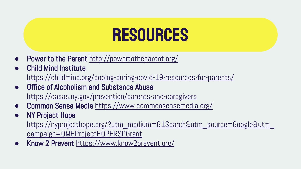## **RESOURCES**

- Power to the Parent <http://powertotheparent.org/>
- **Child Mind Institute** <https://childmind.org/coping-during-covid-19-resources-for-parents/>
- **Office of Alcoholism and Substance Abuse** <https://oasas.ny.gov/prevention/parents-and-caregivers>
- Common Sense Media <https://www.commonsensemedia.org/>
- **NY Project Hope**

[https://nyprojecthope.org/?utm\\_medium=G1Search&utm\\_source=Google&utm\\_](https://nyprojecthope.org/?utm_medium=G1Search&utm_source=Google&utm_campaign=OMHProjectHOPERSPGrant) [campaign=OMHProjectHOPERSPGrant](https://nyprojecthope.org/?utm_medium=G1Search&utm_source=Google&utm_campaign=OMHProjectHOPERSPGrant)

Know 2 Prevent <https://www.know2prevent.org/>